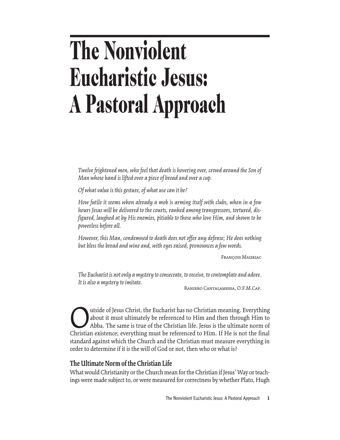# **The Nonviolent Eucharistic Jesus: A Pastoral Approach**

*Twelve frightened men, who feel that death is hovering over, crowd around the Son of Man whose hand is lifted over a piece of bread and over a cup.*

*Of what value is this gesture, of what use can it be?*

*How futile it seems when already a mob is arming itself with clubs, when in a few hours Jesus will be delivered to the courts, ranked among transgressors, tortured, disfigured, laughed at by His enemies, pitiable to those who love Him, and shown to be powerless before all.*

*However, this Man, condemned to death does not offer any defense; He does nothing but bless the bread and wine and, with eyes raised, pronounces a few words.*

François Mauriac

*The Eucharist is not only a mystery to consecrate, to receive, to contemplate and adore. It is also a mystery to imitate.*

Raniero Cantalamessa, O.F.M.Cap.

The United States of Jesus Christ, the Eucharist has no Christian meaning. Everything<br>about it must ultimately be referenced to Him and then through Him to<br>Abba. The same is true of the Christian life. Jesus is the ultimat about it must ultimately be referenced to Him and then through Him to Abba. The same is true of the Christian life. Jesus is the ultimate norm of Christian existence; everything must be referenced to Him. If He is not the final standard against which the Church and the Christian must measure everything in order to determine if it is the will of God or not, then who or what is?

# **The Ultimate Norm of the Christian Life**

What would Christianity or the Church mean for the Christian if Jesus' Way or teachings were made subject to, or were measured for correctness by whether Plato, Hugh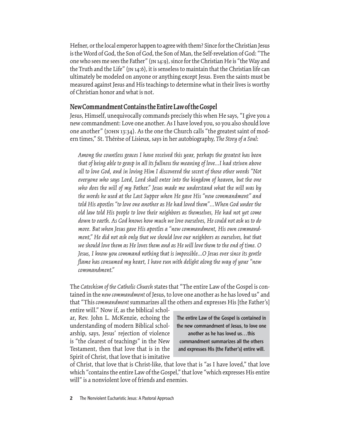Hefner, or the local emperor happen to agree with them? Since for the Christian Jesus is the Word of God, the Son of God, the Son of Man, the Self-revelation of God: "The one who sees me sees the Father" (jn 14:9), since for the Christian He is "the Way and the Truth and the Life" (jn 14:6), it is senseless to maintain that the Christian life can ultimately be modeled on anyone or anything except Jesus. Even the saints must be measured against Jesus and His teachings to determine what in their lives is worthy of Christian honor and what is not.

### **New Commandment Contains the Entire Law of the Gospel**

Jesus, Himself, unequivocally commands precisely this when He says, "I give you a new commandment: Love one another. As I have loved you, so you also should love one another" (JOHN 13:34). As the one the Church calls "the greatest saint of modern times," St. Thérèse of Lisieux, says in her autobiography, *The Story of a Soul*:

*Among the countless graces I have received this year, perhaps the greatest has been that of being able to grasp in all its fullness the meaning of love...I had striven above all to love God, and in loving Him I discovered the secret of those other words "Not everyone who says Lord, Lord shall enter into the kingdom of heaven, but the one who does the will of my Father." Jesus made me understand what the will was by the words he used at the Last Supper when He gave His "new commandment" and told His apostles "to love one another as He had loved them"…When God under the old law told His people to love their neighbors as themselves, He had not yet come down to earth. As God knows how much we love ourselves, He could not ask us to do more. But when Jesus gave His apostles a "new commandment, His own commandment," He did not ask only that we should love our neighbors as ourselves, but that we should love them as He loves them and as He will love them to the end of time. O Jesus, I know you command nothing that is impossible...O Jesus ever since its gentle flame has consumed my heart, I have run with delight along the way of your "new commandment."*

The *Catechism of the Catholic Church* states that "The entire Law of the Gospel is contained in the *new commandment* of Jesus, to love one another as he has loved us" and that "This *commandment* summarizes all the others and expresses His [the Father's]

entire will." Now if, as the biblical scholar, Rev. John L. McKenzie, echoing the understanding of modern Biblical scholarship, says, Jesus' rejection of violence is "the clearest of teachings" in the New Testament, then that love that is in the Spirit of Christ, that love that is imitative

The entire Law of the Gospel is contained in the new commandment of Jesus, to love one another as he has loved us…this commandment summarizes all the others and expresses His [the Father's] entire will.

of Christ, that love that is Christ-like, that love that is "as I have loved," that love which "contains the entire Law of the Gospel," that love "which expresses His entire will" is a nonviolent love of friends and enemies.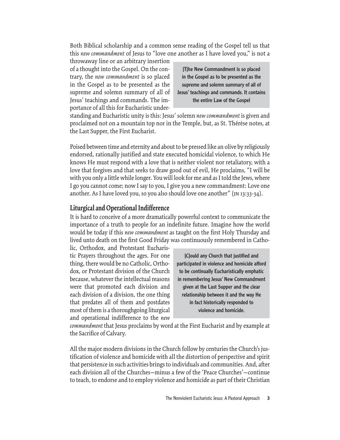Both Biblical scholarship and a common sense reading of the Gospel tell us that this *new commandment* of Jesus to "love one another as I have loved you," is not a

throwaway line or an arbitrary insertion of a thought into the Gospel. On the contrary, the *new commandment* is so placed in the Gospel as to be presented as the supreme and solemn summary of all of Jesus' teachings and commands. The importance of all this for Eucharistic under-

[T]he New Commandment is so placed in the Gospel as to be presented as the supreme and solemn summary of all of Jesus' teachings and commands. It contains the entire Law of the Gospel

standing and Eucharistic unity is this: Jesus' solemn *new commandment* is given and proclaimed not on a mountain top nor in the Temple, but, as St. Thérèse notes, at the Last Supper, the First Eucharist.

Poised between time and eternity and about to be pressed like an olive by religiously endorsed, rationally justified and state executed homicidal violence, to which He knows He must respond with a love that is neither violent nor retaliatory, with a love that forgives and that seeks to draw good out of evil, He proclaims, "I will be with you only a little while longer. You will look for me and as I told the Jews, where I go you cannot come; now I say to you, I give you a new commandment: Love one another. As I have loved you, so you also should love one another" (jn 13:33-34).

### **Liturgical and Operational Indifference**

It is hard to conceive of a more dramatically powerful context to communicate the importance of a truth to people for an indefinite future. Imagine how the world would be today if this *new commandment* as taught on the first Holy Thursday and lived unto death on the first Good Friday was continuously remembered in Catho-

lic, Orthodox, and Protestant Eucharistic Prayers throughout the ages. For one thing, there would be no Catholic, Orthodox, or Protestant division of the Church because, whatever the intellectual reasons were that promoted each division and each division of a division, the one thing that predates all of them and postdates most of them is a thoroughgoing liturgical and operational indifference to the *new* 

[C]ould any Church that justified and participated in violence and homicide afford to be continually Eucharistically emphatic in remembering Jesus' New Commandment given at the Last Supper and the clear relationship between it and the way He in fact historically responded to violence and homicide.

*commandment* that Jesus proclaims by word at the First Eucharist and by example at the Sacrifice of Calvary.

All the major modern divisions in the Church follow by centuries the Church's justification of violence and homicide with all the distortion of perspective and spirit that persistence in such activities brings to individuals and communities. And, after each division all of the Churches—minus a few of the 'Peace Churches'—continue to teach, to endorse and to employ violence and homicide as part of their Christian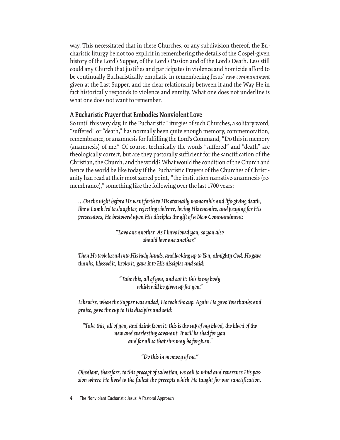way. This necessitated that in these Churches, or any subdivision thereof, the Eucharistic liturgy be not too explicit in remembering the details of the Gospel-given history of the Lord's Supper, of the Lord's Passion and of the Lord's Death. Less still could any Church that justifies and participates in violence and homicide afford to be continually Eucharistically emphatic in remembering Jesus' *new commandment* given at the Last Supper, and the clear relationship between it and the Way He in fact historically responds to violence and enmity. What one does not underline is what one does not want to remember.

### **A Eucharistic Prayer that Embodies Nonviolent Love**

So until this very day, in the Eucharistic Liturgies of such Churches, a solitary word, "suffered" or "death," has normally been quite enough memory, commemoration, remembrance, or anamnesis for fulfilling the Lord's Command, "Do this in memory (anamnesis) of me." Of course, technically the words "suffered" and "death" are theologically correct, but are they pastorally sufficient for the sanctification of the Christian, the Church, and the world? What would the condition of the Church and hence the world be like today if the Eucharistic Prayers of the Churches of Christianity had read at their most sacred point, "the institution narrative-anamnesis (remembrance)," something like the following over the last 1700 years:

*…On the night before He went forth to His eternally memorable and life-giving death, like a Lamb led to slaughter, rejecting violence, loving His enemies, and praying for His persecutors, He bestowed upon His disciples the gift of a New Commandment:* 

> *"Love one another. As I have loved you, so you also should love one another."*

*Then He took bread into His holy hands, and looking up to You, almighty God, He gave thanks, blessed it, broke it, gave it to His disciples and said:* 

> *"Take this, all of you, and eat it: this is my body which will be given up for you."*

*Likewise, when the Supper was ended, He took the cup. Again He gave You thanks and praise, gave the cup to His disciples and said:* 

*"Take this, all of you, and drink from it: this is the cup of my blood, the blood of the new and everlasting covenant. It will be shed for you and for all so that sins may be forgiven."*

*"Do this in memory of me."*

*Obedient, therefore, to this precept of salvation, we call to mind and reverence His passion where He lived to the fullest the precepts which He taught for our sanctification.* 

**<sup>4</sup>** The Nonviolent Eucharistic Jesus: A Pastoral Approach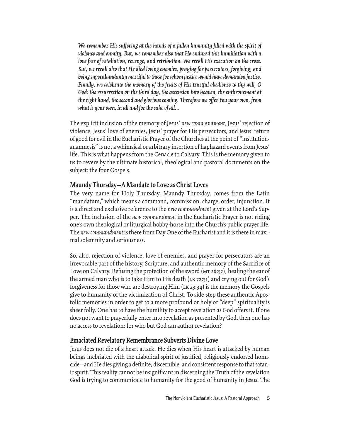*We remember His suffering at the hands of a fallen humanity filled with the spirit of violence and enmity. But, we remember also that He endured this humiliation with a love free of retaliation, revenge, and retribution. We recall His execution on the cross. But, we recall also that He died loving enemies, praying for persecutors, forgiving, and being superabundantly merciful to those for whom justice would have demanded justice. Finally, we celebrate the memory of the fruits of His trustful obedience to thy will, O God: the resurrection on the third day, the ascension into heaven, the enthronement at the right hand, the second and glorious coming. Therefore we offer You your own, from what is your own, in all and for the sake of all…*

The explicit inclusion of the memory of Jesus' *new commandment,* Jesus' rejection of violence, Jesus' love of enemies, Jesus' prayer for His persecutors, and Jesus' return of good for evil in the Eucharistic Prayer of the Churches at the point of "institutionanamnesis" is not a whimsical or arbitrary insertion of haphazard events from Jesus' life. This is what happens from the Cenacle to Calvary. This is the memory given to us to revere by the ultimate historical, theological and pastoral documents on the subject: the four Gospels.

### **Maundy Thursday—A Mandate to Love as Christ Loves**

The very name for Holy Thursday, Maundy Thursday, comes from the Latin "mandatum," which means a command, commission, charge, order, injunction. It is a direct and exclusive reference to the *new commandment* given at the Lord's Supper. The inclusion of the *new commandment* in the Eucharistic Prayer is not riding one's own theological or liturgical hobby-horse into the Church's public prayer life. The *new commandment* is there from Day One of the Eucharist and it is there in maximal solemnity and seriousness.

So, also, rejection of violence, love of enemies, and prayer for persecutors are an irrevocable part of the history, Scripture, and authentic memory of the Sacrifice of Love on Calvary. Refusing the protection of the sword (MT 26:52), healing the ear of the armed man who is to take Him to His death (LK 22:51) and crying out for God's forgiveness for those who are destroying Him (LK 23:34) is the memory the Gospels give to humanity of the victimization of Christ. To side-step these authentic Apostolic memories in order to get to a more profound or holy or "deep" spirituality is sheer folly. One has to have the humility to accept revelation as God offers it. If one does not want to prayerfully enter into revelation as presented by God, then one has no access to revelation; for who but God can author revelation?

#### **Emaciated Revelatory Remembrance Subverts Divine Love**

Jesus does not die of a heart attack. He dies when His heart is attacked by human beings inebriated with the diabolical spirit of justified, religiously endorsed homicide—and He dies giving a definite, discernible, and consistent response to that satanic spirit. This reality cannot be insignificant in discerning the Truth of the revelation God is trying to communicate to humanity for the good of humanity in Jesus. The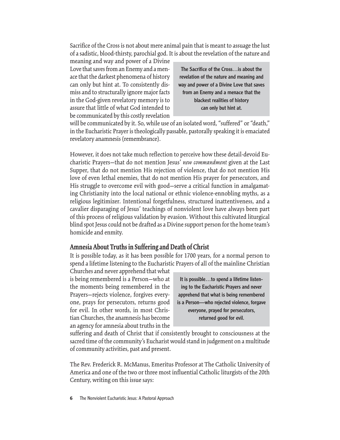Sacrifice of the Cross is not about mere animal pain that is meant to assuage the lust of a sadistic, blood-thirsty, parochial god. It is about the revelation of the nature and

meaning and way and power of a Divine Love that saves from an Enemy and a menace that the darkest phenomena of history can only but hint at. To consistently dismiss and to structurally ignore major facts in the God-given revelatory memory is to assure that little of what God intended to be communicated by this costly revelation

The Sacrifice of the Cross…is about the revelation of the nature and meaning and way and power of a Divine Love that saves from an Enemy and a menace that the blackest realities of history can only but hint at.

will be communicated by it. So, while use of an isolated word, "suffered" or "death," in the Eucharistic Prayer is theologically passable, pastorally speaking it is emaciated revelatory anamnesis (remembrance).

However, it does not take much reflection to perceive how these detail-devoid Eucharistic Prayers—that do not mention Jesus' *new commandment* given at the Last Supper, that do not mention His rejection of violence, that do not mention His love of even lethal enemies, that do not mention His prayer for persecutors, and His struggle to overcome evil with good—serve a critical function in amalgamating Christianity into the local national or ethnic violence-ennobling myths, as a religious legitimizer. Intentional forgetfulness, structured inattentiveness, and a cavalier disparaging of Jesus' teachings of nonviolent love have always been part of this process of religious validation by evasion. Without this cultivated liturgical blind spot Jesus could not be drafted as a Divine support person for the home team's homicide and enmity.

#### **Amnesia About Truths in Suffering and Death of Christ**

It is possible today, as it has been possible for 1700 years, for a normal person to spend a lifetime listening to the Eucharistic Prayers of all of the mainline Christian

Churches and never apprehend that what is being remembered is a Person—who at the moments being remembered in the Prayers—rejects violence, forgives everyone, prays for persecutors, returns good for evil. In other words, in most Christian Churches, the anamnesis has become an agency for amnesia about truths in the

It is possible…to spend a lifetime listening to the Eucharistic Prayers and never apprehend that what is being remembered is a Person—who rejected violence, forgave everyone, prayed for persecutors, returned good for evil.

suffering and death of Christ that if consistently brought to consciousness at the sacred time of the community's Eucharist would stand in judgement on a multitude of community activities, past and present.

The Rev. Frederick R. McManus, Emeritus Professor at The Catholic University of America and one of the two or three most influential Catholic liturgists of the 20th Century, writing on this issue says: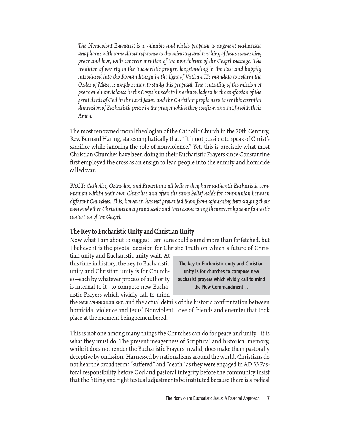*The Nonviolent Eucharist is a valuable and viable proposal to augment eucharistic anaphoras with some direct reference to the ministry and teaching of Jesus concerning peace and love, with concrete mention of the nonviolence of the Gospel message. The tradition of variety in the Eucharistic prayer, longstanding in the East and happily introduced into the Roman liturgy in the light of Vatican II's mandate to reform the Order of Mass, is ample reason to study this proposal. The centrality of the mission of peace and nonviolence in the Gospels needs to be acknowledged in the confession of the great deeds of God in the Lord Jesus, and the Christian people need to see this essential dimension of Eucharistic peace in the prayer which they confirm and ratify with their Amen.* 

The most renowned moral theologian of the Catholic Church in the 20th Century, Rev. Bernard Häring, states emphatically that, "It is not possible to speak of Christ's sacrifice while ignoring the role of nonviolence." Yet, this is precisely what most Christian Churches have been doing in their Eucharistic Prayers since Constantine first employed the cross as an ensign to lead people into the enmity and homicide called war.

FACT: *Catholics, Orthodox, and Protestants all believe they have authentic Eucharistic communion within their own Churches and often the same belief holds for communion between different Churches. This, however, has not prevented them from sojourning into slaying their own and other Christians on a grand scale and then exonerating themselves by some fantastic contortion of the Gospel.*

# **The Key to Eucharistic Unity and Christian Unity**

Now what I am about to suggest I am sure could sound more than farfetched, but I believe it is the pivotal decision for Christic Truth on which a future of Chris-

tian unity and Eucharistic unity wait. At this time in history, the key to Eucharistic unity and Christian unity is for Churches—each by whatever process of authority is internal to it—to compose new Eucharistic Prayers which vividly call to mind

The key to Eucharistic unity and Christian unity is for churches to compose new eucharist prayers which vividly call to mind the New Commandment…

the *new commandment,* and the actual details of the historic confrontation between homicidal violence and Jesus' Nonviolent Love of friends and enemies that took place at the moment being remembered.

This is not one among many things the Churches can do for peace and unity—it is what they must do. The present meagerness of Scriptural and historical memory, while it does not render the Eucharistic Prayers invalid, does make them pastorally deceptive by omission. Harnessed by nationalisms around the world, Christians do not hear the broad terms "suffered" and "death" as they were engaged in AD 33 Pastoral responsibility before God and pastoral integrity before the community insist that the fitting and right textual adjustments be instituted because there is a radical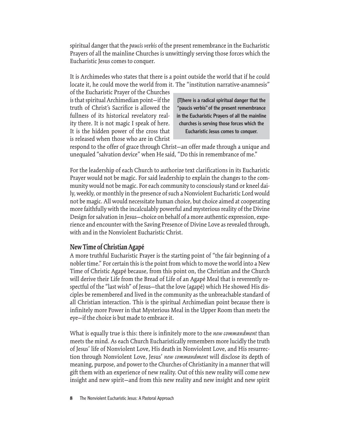spiritual danger that the *paucis verbis* of the present remembrance in the Eucharistic Prayers of all the mainline Churches is unwittingly serving those forces which the Eucharistic Jesus comes to conquer.

It is Archimedes who states that there is a point outside the world that if he could locate it, he could move the world from it. The "institution narrative-anamnesis"

of the Eucharistic Prayer of the Churches is that spiritual Archimedian point—if the truth of Christ's Sacrifice is allowed the fullness of its historical revelatory reality there. It is not magic I speak of here. It is the hidden power of the cross that is released when those who are in Christ

[T]here is a radical spiritual danger that the "paucis verbis" of the present remembrance in the Eucharistic Prayers of all the mainline churches is serving those forces which the Eucharistic Jesus comes to conquer.

respond to the offer of grace through Christ—an offer made through a unique and unequaled "salvation device" when He said, "Do this in remembrance of me."

For the leadership of each Church to authorize text clarifications in its Eucharistic Prayer would not be magic. For said leadership to explain the changes to the community would not be magic. For each community to consciously stand or kneel daily, weekly, or monthly in the presence of such a Nonviolent Eucharistic Lord would not be magic. All would necessitate human choice, but choice aimed at cooperating more faithfully with the incalculably powerful and mysterious reality of the Divine Design for salvation in Jesus—choice on behalf of a more authentic expression, experience and encounter with the Saving Presence of Divine Love as revealed through, with and in the Nonviolent Eucharistic Christ.

# **New Time of Christian Agapé**

A more truthful Eucharistic Prayer is the starting point of "the fair beginning of a nobler time." For certain this is the point from which to move the world into a New Time of Christic Agapé because, from this point on, the Christian and the Church will derive their Life from the Bread of Life of an Agapé Meal that is reverently respectful of the "last wish" of Jesus—that the love (agapé) which He showed His disciples be remembered and lived in the community as the unbreachable standard of all Christian interaction. This is the spiritual Archimedian point because there is infinitely more Power in that Mysterious Meal in the Upper Room than meets the eye—if the choice is but made to embrace it.

What is equally true is this: there is infinitely more to the *new commandment* than meets the mind. As each Church Eucharistically remembers more lucidly the truth of Jesus' life of Nonviolent Love, His death in Nonviolent Love, and His resurrection through Nonviolent Love, Jesus' *new commandment* will disclose its depth of meaning, purpose, and power to the Churches of Christianity in a manner that will gift them with an experience of new reality. Out of this new reality will come new insight and new spirit—and from this new reality and new insight and new spirit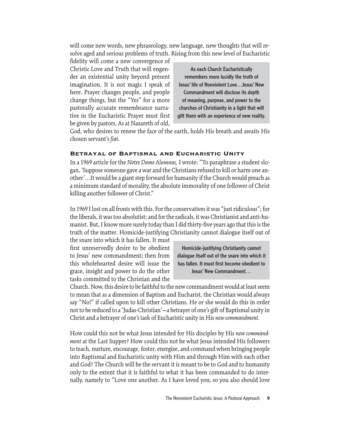will come new words, new phraseology, new language, new thoughts that will resolve aged and serious problems of truth. Rising from this new level of Eucharistic

fidelity will come a new convergence of Christic Love and Truth that will engender an existential unity beyond present imagination. It is not magic I speak of here. Prayer changes people, and people change things, but the "Yes" for a more pastorally accurate remembrance narrative in the Eucharistic Prayer must first be given by pastors. As at Nazareth of old,

As each Church Eucharistically remembers more lucidly the truth of Jesus' life of Nonviolent Love…Jesus' New Commandment will disclose its depth of meaning, purpose, and power to the churches of Christianity in a light that will gift them with an experience of new reality.

God, who desires to renew the face of the earth, holds His breath and awaits His chosen servant's *fiat.*

### Betrayal of Baptismal and Eucharistic Unity

In a 1969 article for the *Notre Dame Alumnus,* I wrote: "To paraphrase a student slogan, 'Suppose someone gave a war and the Christians refused to kill or harm one another'…It would be a giant step forward for humanity if the Church would preach as a minimum standard of morality, the absolute immorality of one follower of Christ killing another follower of Christ."

In 1969 I lost on all fronts with this. For the conservatives it was "just ridiculous"; for the liberals, it was too absolutist; and for the radicals, it was Christianist and anti-humanist. But, I know more surely today than I did thirty-five years ago that this is the truth of the matter. Homicide-justifying Christianity cannot dialogue itself out of

the snare into which it has fallen. It must first unreservedly desire to be obedient to Jesus' new commandment; then from this wholehearted desire will issue the grace, insight and power to do the other tasks committed to the Christian and the

Homicide-justifying Christianity cannot dialogue itself out of the snare into which it has fallen. It must first become obedient to Jesus' New Commandment…

Church. Now, this desire to be faithful to the new commandment would at least seem to mean that as a dimension of Baptism and Eucharist, the Christian would always say "No!" if called upon to kill other Christians. He or she would do this in order not to be reduced to a 'Judas-Christian'—a betrayer of one's gift of Baptismal unity in Christ and a betrayer of one's task of Eucharistic unity in His *new commandment.*

How could this not be what Jesus intended for His disciples by His *new commandment* at the Last Supper? How could this not be what Jesus intended His followers to teach, nurture, encourage, foster, energize, and command when bringing people into Baptismal and Eucharistic unity with Him and through Him with each other and God? The Church will be the servant it is meant to be to God and to humanity only to the extent that it is faithful to what it has been commanded to do internally, namely to "Love one another. As I have loved you, so you also should love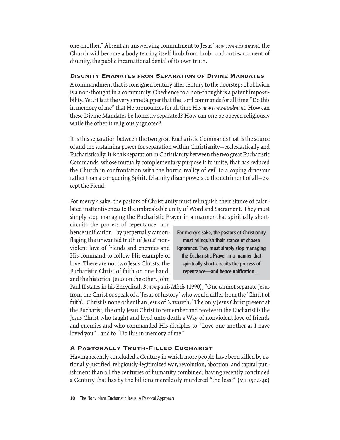one another." Absent an unswerving commitment to Jesus' *new commandment,* the Church will become a body tearing itself limb from limb—and anti-sacrament of disunity, the public incarnational denial of its own truth.

#### Disunity Emanates from Separation of Divine Mandates

A commandment that is consigned century after century to the doorsteps of oblivion is a non-thought in a community. Obedience to a non-thought is a patent impossibility. Yet, it is at the very same Supper that the Lord commands for all time "Do this in memory of me" that He pronounces for all time His *new commandment.* How can these Divine Mandates be honestly separated? How can one be obeyed religiously while the other is religiously ignored?

It is this separation between the two great Eucharistic Commands that is the source of and the sustaining power for separation within Christianity—ecclesiastically and Eucharistically. It is this separation in Christianity between the two great Eucharistic Commands, whose mutually complementary purpose is to unite, that has reduced the Church in confrontation with the horrid reality of evil to a coping dinosaur rather than a conquering Spirit. Disunity disempowers to the detriment of all—except the Fiend.

For mercy's sake, the pastors of Christianity must relinquish their stance of calculated inattentiveness to the unbreakable unity of Word and Sacrament. They must simply stop managing the Eucharistic Prayer in a manner that spiritually short-

circuits the process of repentance—and hence unification—by perpetually camouflaging the unwanted truth of Jesus' nonviolent love of friends and enemies and His command to follow His example of love. There are not two Jesus Christs: the Eucharistic Christ of faith on one hand, and the historical Jesus on the other. John

For mercy's sake, the pastors of Christianity must relinquish their stance of chosen ignorance. They must simply stop managing the Eucharistic Prayer in a manner that spiritually short-circuits the process of repentance—and hence unification…

Paul II states in his Encyclical, *Redemptoris Missio* (1990), "One cannot separate Jesus from the Christ or speak of a 'Jesus of history' who would differ from the 'Christ of faith'...Christ is none other than Jesus of Nazareth." The only Jesus Christ present at the Eucharist, the only Jesus Christ to remember and receive in the Eucharist is the Jesus Christ who taught and lived unto death a Way of nonviolent love of friends and enemies and who commanded His disciples to "Love one another as I have loved you"—and to "Do this in memory of me."

# A Pastorally Truth-Filled Eucharist

Having recently concluded a Century in which more people have been killed by rationally-justified, religiously-legitimized war, revolution, abortion, and capital punishment than all the centuries of humanity combined; having recently concluded a Century that has by the billions mercilessly murdered "the least" ( $MT 25:14-46$ )